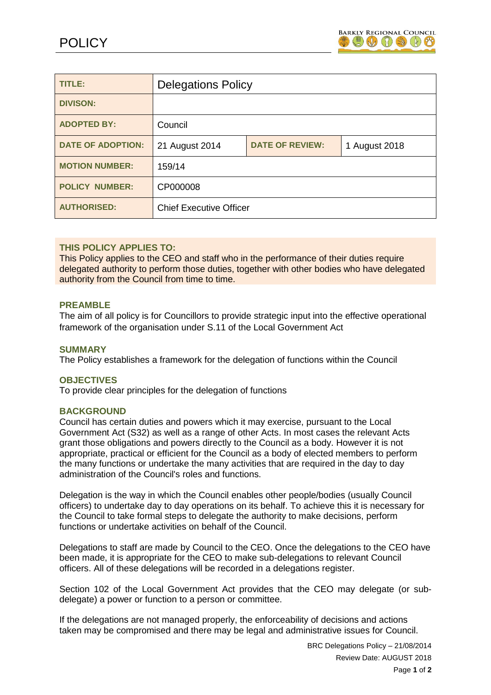

| TITLE:                   | <b>Delegations Policy</b>      |                        |               |
|--------------------------|--------------------------------|------------------------|---------------|
| <b>DIVISON:</b>          |                                |                        |               |
| <b>ADOPTED BY:</b>       | Council                        |                        |               |
| <b>DATE OF ADOPTION:</b> | 21 August 2014                 | <b>DATE OF REVIEW:</b> | 1 August 2018 |
| <b>MOTION NUMBER:</b>    | 159/14                         |                        |               |
| <b>POLICY NUMBER:</b>    | CP000008                       |                        |               |
| <b>AUTHORISED:</b>       | <b>Chief Executive Officer</b> |                        |               |

## **THIS POLICY APPLIES TO:**

This Policy applies to the CEO and staff who in the performance of their duties require delegated authority to perform those duties, together with other bodies who have delegated authority from the Council from time to time.

## **PREAMBLE**

The aim of all policy is for Councillors to provide strategic input into the effective operational framework of the organisation under S.11 of the Local Government Act

### **SUMMARY**

The Policy establishes a framework for the delegation of functions within the Council

### **OBJECTIVES**

To provide clear principles for the delegation of functions

## **BACKGROUND**

Council has certain duties and powers which it may exercise, pursuant to the Local Government Act (S32) as well as a range of other Acts. In most cases the relevant Acts grant those obligations and powers directly to the Council as a body. However it is not appropriate, practical or efficient for the Council as a body of elected members to perform the many functions or undertake the many activities that are required in the day to day administration of the Council's roles and functions.

Delegation is the way in which the Council enables other people/bodies (usually Council officers) to undertake day to day operations on its behalf. To achieve this it is necessary for the Council to take formal steps to delegate the authority to make decisions, perform functions or undertake activities on behalf of the Council.

Delegations to staff are made by Council to the CEO. Once the delegations to the CEO have been made, it is appropriate for the CEO to make sub-delegations to relevant Council officers. All of these delegations will be recorded in a delegations register.

Section 102 of the Local Government Act provides that the CEO may delegate (or subdelegate) a power or function to a person or committee.

If the delegations are not managed properly, the enforceability of decisions and actions taken may be compromised and there may be legal and administrative issues for Council.